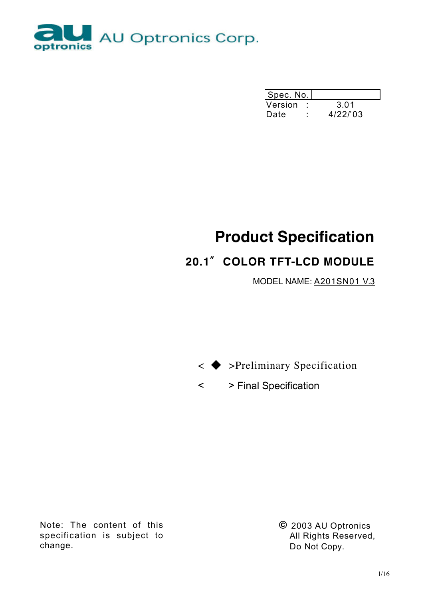

| Spec. No. |         |
|-----------|---------|
| Version   | 3.01    |
| Date      | 4/22/03 |

# **Product Specification**

## **20.1**〞**COLOR TFT-LCD MODULE**

MODEL NAME: A201SN01 V.3

< ◆ >Preliminary Specification

< > Final Specification

Note: The content of this specification is subject to change.

**©** 2003 AU Optronics All Rights Reserved, Do Not Copy.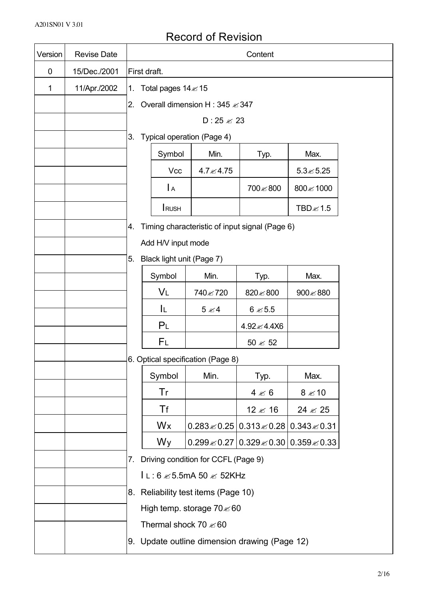## Record of Revision

| Version | <b>Revise Date</b> |    | Content                                        |                                               |                                             |                                                             |  |  |  |  |  |
|---------|--------------------|----|------------------------------------------------|-----------------------------------------------|---------------------------------------------|-------------------------------------------------------------|--|--|--|--|--|
| 0       | 15/Dec./2001       |    | First draft.                                   |                                               |                                             |                                                             |  |  |  |  |  |
| 1       | 11/Apr./2002       | 1. | Total pages 14 ≤ 15                            |                                               |                                             |                                                             |  |  |  |  |  |
|         |                    | 2. |                                                | Overall dimension H : 345 ≤ 347               |                                             |                                                             |  |  |  |  |  |
|         |                    |    |                                                | D: $25 \approx 23$                            |                                             |                                                             |  |  |  |  |  |
|         |                    | 3. |                                                | Typical operation (Page 4)                    |                                             |                                                             |  |  |  |  |  |
|         |                    |    | Symbol                                         | Min.                                          | Typ.                                        | Max.                                                        |  |  |  |  |  |
|         |                    |    | Vcc                                            | 4.7 $\leq 4.75$                               |                                             | $5.3 \le 5.25$                                              |  |  |  |  |  |
|         |                    |    | $\mathsf{A}$                                   | 700≤800<br>800 ≤ 1000                         |                                             |                                                             |  |  |  |  |  |
|         |                    |    | <b>I</b> RUSH<br>$TBD \ll 1.5$                 |                                               |                                             |                                                             |  |  |  |  |  |
|         |                    | 4. | Timing characteristic of input signal (Page 6) |                                               |                                             |                                                             |  |  |  |  |  |
|         |                    |    | Add H/V input mode                             |                                               |                                             |                                                             |  |  |  |  |  |
|         |                    | 5. | Black light unit (Page 7)                      |                                               |                                             |                                                             |  |  |  |  |  |
|         |                    |    | Symbol                                         |                                               |                                             |                                                             |  |  |  |  |  |
|         |                    |    | VL                                             | 740 ≤ 720                                     | 820 ≤ 800                                   | 900 5880                                                    |  |  |  |  |  |
|         |                    |    | IL.                                            | $5 \times 4$                                  | $6 \approx 5.5$                             |                                                             |  |  |  |  |  |
|         |                    |    | P <sub>L</sub>                                 |                                               | 4.92 ≤ 4.4X6                                |                                                             |  |  |  |  |  |
|         |                    |    | FL                                             |                                               | $50 \approx 52$                             |                                                             |  |  |  |  |  |
|         |                    |    |                                                | 6. Optical specification (Page 8)             |                                             |                                                             |  |  |  |  |  |
|         |                    |    | Symbol                                         | Min.                                          | Typ.                                        | Max.                                                        |  |  |  |  |  |
|         |                    |    | Tr                                             |                                               | $4 \le 6$                                   | $8 \le 10$                                                  |  |  |  |  |  |
|         |                    |    | Tf                                             |                                               | 12 $\leq$ 16                                | $24 \mathbb{Z} 25$                                          |  |  |  |  |  |
|         |                    |    | Wx                                             |                                               | $0.283\&0.25$ 0.313 $\&0.28$ 0.343 $\&0.31$ |                                                             |  |  |  |  |  |
|         |                    |    | Wy                                             |                                               |                                             | $0.299 \& 0.27 \,   \, 0.329 \& 0.30 \,   \, 0.359 \& 0.33$ |  |  |  |  |  |
|         |                    | 7. |                                                | Driving condition for CCFL (Page 9)           |                                             |                                                             |  |  |  |  |  |
|         |                    |    | $l \lt: 6$ $\leq 5.5$ mA 50 $\leq 52$ KHz      |                                               |                                             |                                                             |  |  |  |  |  |
|         |                    |    | 8. Reliability test items (Page 10)            |                                               |                                             |                                                             |  |  |  |  |  |
|         |                    |    | High temp. storage 70 $\leq 60$                |                                               |                                             |                                                             |  |  |  |  |  |
|         |                    |    | Thermal shock 70 $\le 60$                      |                                               |                                             |                                                             |  |  |  |  |  |
|         |                    |    |                                                | 9. Update outline dimension drawing (Page 12) |                                             |                                                             |  |  |  |  |  |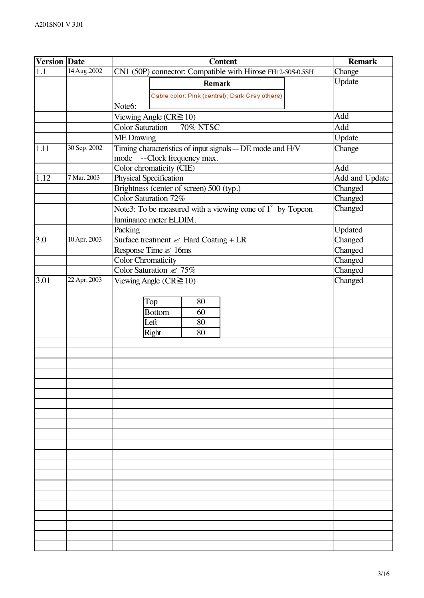| <b>Version Date</b> |              | <b>Content</b>                                               | <b>Remark</b>      |
|---------------------|--------------|--------------------------------------------------------------|--------------------|
| 1.1                 | 14 Aug.2002  | CN1 (50P) connector: Compatible with Hirose FH12-50S-0.5SH   | Change             |
|                     |              | Remark                                                       | Update             |
|                     |              | Cable color: Pink (central); Dark Gray others)               |                    |
|                     |              | Note6:                                                       |                    |
|                     |              | Viewing Angle ( $CR \ge 10$ )                                | Add                |
|                     |              | <b>Color Saturation</b><br><b>70% NTSC</b>                   | Add                |
|                     |              | <b>ME</b> Drawing                                            | Update             |
| 1.11                | 30 Sep. 2002 | Timing characteristics of input signals - DE mode and H/V    | Change             |
|                     |              | mode<br>--Clock frequency max.                               |                    |
|                     |              | Color chromaticity (CIE)                                     | Add                |
| 1.12                | 7 Mar. 2003  | Physical Specification                                       | Add and Update     |
|                     |              | Brightness (center of screen) 500 (typ.)                     | Changed            |
|                     |              | Color Saturation 72%                                         | Changed            |
|                     |              | Note3: To be measured with a viewing cone of 1° by Topcon    | Changed            |
|                     |              | luminance meter ELDIM.                                       |                    |
| 3.0                 | 10 Apr. 2003 | Packing<br>Surface treatment $\mathcal{L}$ Hard Coating + LR | Updated<br>Changed |
|                     |              | Response Time & 16ms                                         | Changed            |
|                     |              | <b>Color Chromaticity</b>                                    | Changed            |
|                     |              | Color Saturation $\ll 75\%$                                  | Changed            |
| 3.01                | 22 Apr. 2003 | Viewing Angle ( $CR \ge 10$ )                                | Changed            |
|                     |              |                                                              |                    |
|                     |              | Top<br>80                                                    |                    |
|                     |              | <b>Bottom</b><br>60                                          |                    |
|                     |              | Left<br>80                                                   |                    |
|                     |              | Right<br>80                                                  |                    |
|                     |              |                                                              |                    |
|                     |              |                                                              |                    |
|                     |              |                                                              |                    |
|                     |              |                                                              |                    |
|                     |              |                                                              |                    |
|                     |              |                                                              |                    |
|                     |              |                                                              |                    |
|                     |              |                                                              |                    |
|                     |              |                                                              |                    |
|                     |              |                                                              |                    |
|                     |              |                                                              |                    |
|                     |              |                                                              |                    |
|                     |              |                                                              |                    |
|                     |              |                                                              |                    |
|                     |              |                                                              |                    |
|                     |              |                                                              |                    |
|                     |              |                                                              |                    |
|                     |              |                                                              |                    |
|                     |              |                                                              |                    |
|                     |              |                                                              |                    |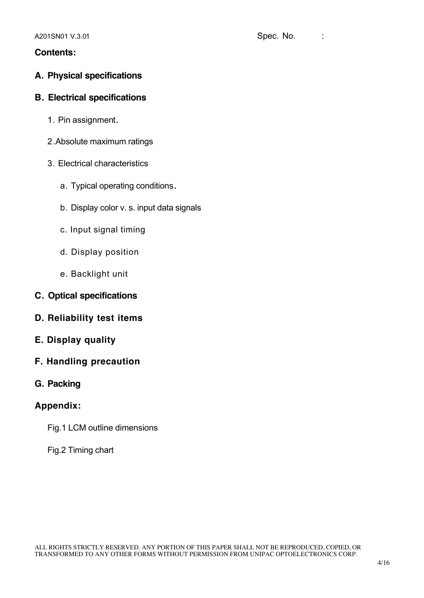### **Contents:**

### **A. Physical specifications**

### **B. Electrical specifications**

- 1. Pin assignment.
- 2.Absolute maximum ratings
- 3. Electrical characteristics
	- a. Typical operating conditions.
	- b. Display color v. s. input data signals
	- c. Input signal timing
	- d. Display position
	- e. Backlight unit
- **C. Optical specifications**
- **D. Reliability test items**
- **E. Display quality**
- **F. Handling precaution**
- **G. Packing**

### **Appendix:**

- Fig.1 LCM outline dimensions
- Fig.2 Timing chart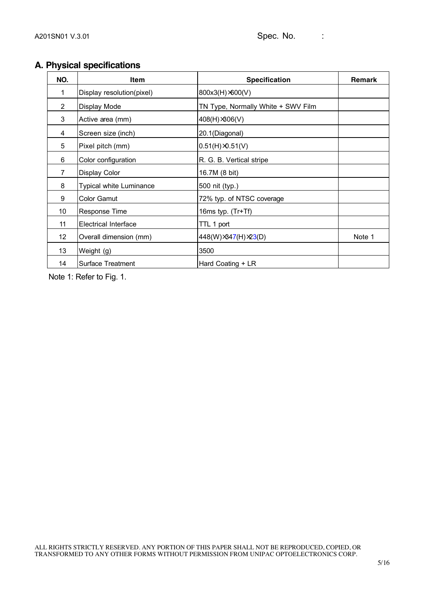### **A. Physical specifications**

| NO.            | Item                        | <b>Specification</b>               | Remark |
|----------------|-----------------------------|------------------------------------|--------|
| 1              | Display resolution(pixel)   | 800x3(H) $×600(V)$                 |        |
| $\overline{2}$ | Display Mode                | TN Type, Normally White + SWV Film |        |
| 3              | Active area (mm)            | 408(H) ×306(V)                     |        |
| 4              | Screen size (inch)          | 20.1(Diagonal)                     |        |
| 5              | Pixel pitch (mm)            | $0.51(H) \times 0.51(V)$           |        |
| 6              | Color configuration         | R. G. B. Vertical stripe           |        |
| $\overline{7}$ | <b>Display Color</b>        | 16.7M (8 bit)                      |        |
| 8              | Typical white Luminance     | 500 nit (typ.)                     |        |
| 9              | <b>Color Gamut</b>          | 72% typ. of NTSC coverage          |        |
| 10             | Response Time               | 16ms typ. (Tr+Tf)                  |        |
| 11             | <b>Electrical Interface</b> | TTL 1 port                         |        |
| 12             | Overall dimension (mm)      | 448(W) ×347(H) ×23(D)              | Note 1 |
| 13             | Weight (g)                  | 3500                               |        |
| 14             | <b>Surface Treatment</b>    | Hard Coating + LR                  |        |

Note 1: Refer to Fig. 1.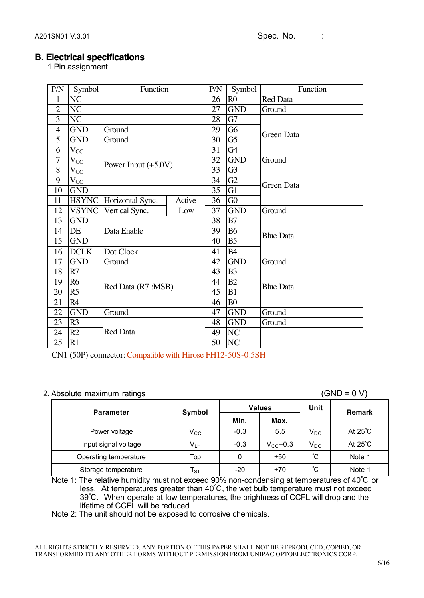### **B. Electrical specifications**

1.Pin assignment

| P/N            | Symbol              | Function              |        | P/N | Symbol          | Function          |  |  |  |
|----------------|---------------------|-----------------------|--------|-----|-----------------|-------------------|--|--|--|
| $\mathbf{1}$   | NC                  |                       |        | 26  | R <sub>0</sub>  | <b>Red Data</b>   |  |  |  |
| $\overline{2}$ | NC                  |                       |        | 27  | <b>GND</b>      | Ground            |  |  |  |
| 3              | NC                  |                       |        | 28  | G7              |                   |  |  |  |
| $\overline{4}$ | <b>GND</b>          | Ground                |        | 29  | G6              | <b>Green Data</b> |  |  |  |
| 5              | <b>GND</b>          | Ground                |        | 30  | $\overline{G5}$ |                   |  |  |  |
| 6              | $\rm V_{\rm CC}$    |                       |        | 31  | G4              |                   |  |  |  |
| $\overline{7}$ | $\overline{V_{CC}}$ |                       |        | 32  | <b>GND</b>      | Ground            |  |  |  |
| 8              | $V_{CC}$            | Power Input $(+5.0V)$ |        | 33  | G <sub>3</sub>  |                   |  |  |  |
| 9              | $V_{CC}$            |                       |        | 34  | G2              | <b>Green Data</b> |  |  |  |
| 10             | <b>GND</b>          |                       |        | 35  | G1              |                   |  |  |  |
| 11             | <b>HSYNC</b>        | Horizontal Sync.      | Active | 36  | G0              |                   |  |  |  |
| 12             | <b>VSYNC</b>        | Vertical Sync.        | Low    | 37  | <b>GND</b>      | Ground            |  |  |  |
| 13             | <b>GND</b>          |                       |        | 38  | B7              |                   |  |  |  |
| 14             | DE                  | Data Enable           |        | 39  | <b>B6</b>       | <b>Blue Data</b>  |  |  |  |
| 15             | <b>GND</b>          |                       |        | 40  | B <sub>5</sub>  |                   |  |  |  |
| 16             | <b>DCLK</b>         | Dot Clock             |        | 41  | <b>B4</b>       |                   |  |  |  |
| 17             | <b>GND</b>          | Ground                |        | 42  | <b>GND</b>      | Ground            |  |  |  |
| 18             | R7                  |                       |        | 43  | B <sub>3</sub>  |                   |  |  |  |
| 19             | R <sub>6</sub>      |                       |        | 44  | B2              | <b>Blue Data</b>  |  |  |  |
| 20             | R <sub>5</sub>      | Red Data (R7 :MSB)    |        | 45  | B1              |                   |  |  |  |
| 21             | R4                  |                       |        | 46  | B <sub>0</sub>  |                   |  |  |  |
| 22             | <b>GND</b>          | Ground                |        | 47  | <b>GND</b>      | Ground            |  |  |  |
| 23             | R <sub>3</sub>      |                       |        | 48  | <b>GND</b>      | Ground            |  |  |  |
| 24             | R2                  | <b>Red Data</b>       |        | 49  | NC              |                   |  |  |  |
| 25             | R1                  |                       |        | 50  | NC              |                   |  |  |  |

CN1 (50P) connector: Compatible with Hirose FH12-50S-0.5SH

### 2. Absolute maximum ratings (GND = 0 V)

| <b>Parameter</b>      | Symbol                   |        | <b>Values</b> | Unit     | Remark            |
|-----------------------|--------------------------|--------|---------------|----------|-------------------|
|                       |                          | Min.   | Max.          |          |                   |
| Power voltage         | $\rm V_{CC}$             | $-0.3$ | 5.5           | $V_{DC}$ | At $25^{\circ}$ C |
| Input signal voltage  | V <sub>LH</sub>          | $-0.3$ | $V_{CC}$ +0.3 | $V_{DC}$ | At $25^{\circ}$ C |
| Operating temperature | Top                      | 0      | $+50$         | °С       | Note 1            |
| Storage temperature   | $\mathsf{T}_{\text{ST}}$ | $-20$  | $+70$         | °С       | Note 1            |

Note 1: The relative humidity must not exceed 90% non-condensing at temperatures of 40℃ or less. At temperatures greater than 40℃, the wet bulb temperature must not exceed 39℃. When operate at low temperatures, the brightness of CCFL will drop and the lifetime of CCFL will be reduced.

Note 2: The unit should not be exposed to corrosive chemicals.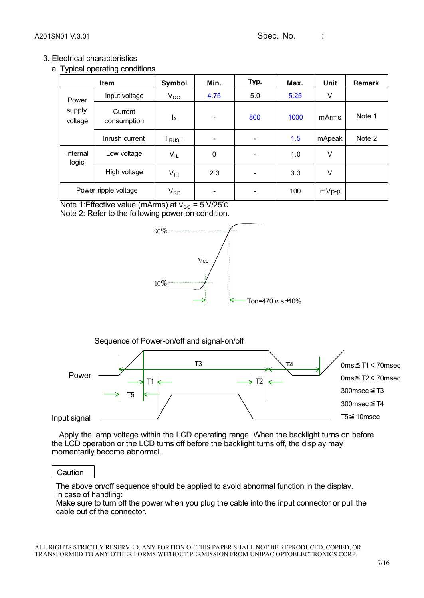### 3. Electrical characteristics

a. Typical operating conditions

|                   | Item                   | Symbol          | Min.        | Typ.                     | Max. | Unit    | Remark |
|-------------------|------------------------|-----------------|-------------|--------------------------|------|---------|--------|
| Power             | Input voltage          | $V_{\rm CC}$    | 4.75        | 5.0                      | 5.25 | V       |        |
| supply<br>voltage | Current<br>consumption | l <sub>A</sub>  |             | 800                      | 1000 | mArms   | Note 1 |
|                   | Inrush current         | RUSH            |             | $\overline{\phantom{a}}$ | 1.5  | mApeak  | Note 2 |
| Internal<br>logic | Low voltage            | $V_{IL}$        | $\mathbf 0$ | $\overline{\phantom{a}}$ | 1.0  | V       |        |
|                   | High voltage           | V <sub>IH</sub> | 2.3         | $\overline{\phantom{a}}$ | 3.3  | V       |        |
|                   | Power ripple voltage   |                 | ۰           | $\overline{\phantom{a}}$ | 100  | $mVp-p$ |        |

Note 1:Effective value (mArms) at  $V_{CC} = 5 V/25°C$ . Note 2: Refer to the following power-on condition.







 Apply the lamp voltage within the LCD operating range. When the backlight turns on before the LCD operation or the LCD turns off before the backlight turns off, the display may momentarily become abnormal.

### **Caution**

The above on/off sequence should be applied to avoid abnormal function in the display. In case of handling:

Make sure to turn off the power when you plug the cable into the input connector or pull the cable out of the connector.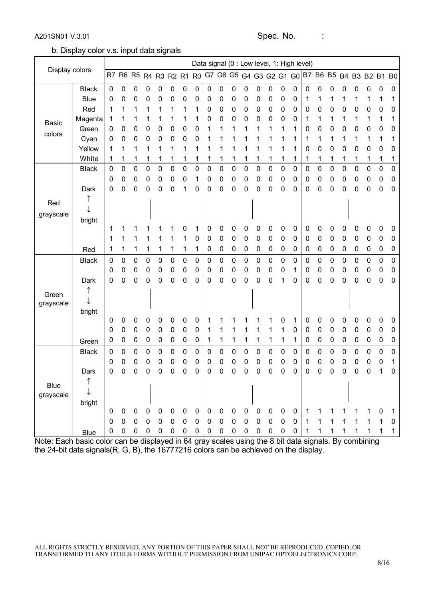A201SN01 V.3.01 Spec. No. :

b. Display color v.s. input data signals

|                    |              |             |           |             |             |             |           |           |                |             |             |             |             |                     | Data signal (0 : Low level, 1: High level) |                |             |              |   |   |   |                                              |             |   |                |
|--------------------|--------------|-------------|-----------|-------------|-------------|-------------|-----------|-----------|----------------|-------------|-------------|-------------|-------------|---------------------|--------------------------------------------|----------------|-------------|--------------|---|---|---|----------------------------------------------|-------------|---|----------------|
| Display colors     |              | R7          | R6 R5     |             | R4 R3 R2 R1 |             |           |           | R <sub>0</sub> |             |             |             |             |                     |                                            |                |             |              |   |   |   | G7 G6 G5 G4 G3 G2 G1 G0 B7 B6 B5 B4 B3 B2 B1 |             |   | B <sub>0</sub> |
|                    | <b>Black</b> | 0           | 0         | 0           | 0           | 0           | 0         | 0         | 0              | 0           | 0           | 0           | 0           | 0                   | 0                                          | 0              | 0           | 0            | 0 | 0 | 0 | 0                                            | 0           | 0 | 0              |
|                    | <b>Blue</b>  | 0           | 0         | 0           | 0           | 0           | 0         | 0         | 0              | 0           | 0           | 0           | 0           | 0                   | 0                                          | 0              | 0           |              | 1 |   |   |                                              | 1           | 1 | 1              |
|                    | Red          | 1           | 1         | 1           | 1           |             | 1         | 1         | 1              | 0           | 0           | 0           | 0           | 0                   | 0                                          | 0              | 0           | 0            | 0 | 0 | 0 | 0                                            | 0           | 0 | 0              |
| <b>Basic</b>       | Magenta      | 1           | 1         | 1           | 1           |             | 1         | 1         | 1              | 0           | 0           | 0           | 0           | 0                   | 0                                          | 0              | 0           | 1            | 1 | 1 | 1 | 1                                            | 1           | 1 | 1              |
| colors             | Green        | 0           | 0         | 0           | 0           | 0           | 0         | 0         | 0              | 1           | 1           | 1           | 1           | 1                   | 1                                          | 1              | 1           | 0            | 0 | 0 | 0 | 0                                            | 0           | 0 | 0              |
|                    | Cyan         | 0           | 0         | 0           | 0           | 0           | 0         | 0         | 0              | 1           | 1           | 1           |             |                     |                                            | 1              | 1           |              | 1 | 1 | 1 | 1                                            | 1           | 1 | 1              |
|                    | Yellow       | 1           | 1         | 1           | 1           |             | 1         | 1         | 1              |             | 1           | 1           | 1           | 1                   | 1                                          | 1              | 1           | 0            | 0 | 0 | 0 | 0                                            | 0           | 0 | 0              |
|                    | White        |             | 1         | 1           | 1           |             | 1         | 1         | 1              |             | 1           | 1           | 1           | 1                   | 1                                          | 1              | 1           |              | 1 | 1 | 1 | 1                                            | 1           | 1 | 1              |
|                    | <b>Black</b> | $\mathbf 0$ | 0         | 0           | $\mathbf 0$ | 0           | 0         | 0         | 0              | 0           | $\mathbf 0$ | 0           | 0           | 0                   | 0                                          | 0              | 0           | 0            | 0 | 0 | 0 | 0                                            | $\mathbf 0$ | 0 | 0              |
|                    |              | 0           | 0         | 0           | 0           | 0           | 0         | 0         | 1              | 0           | 0           | 0           | 0           | 0                   | 0                                          | 0              | 0           | 0            | 0 | 0 | 0 | 0                                            | 0           | 0 | 0              |
|                    | Dark         | 0           | 0         | 0           | 0           | 0           | 0         | 1         | 0              | 0           | 0           | 0           | 0           | 0                   | 0                                          | 0              | 0           | 0            | 0 | 0 | 0 | 0                                            | 0           | 0 | 0              |
| Red                | ↑            |             |           |             |             |             |           |           |                |             |             |             |             |                     |                                            |                |             |              |   |   |   |                                              |             |   |                |
| grayscale          |              |             |           |             |             |             |           |           |                |             |             |             |             |                     |                                            |                |             |              |   |   |   |                                              |             |   |                |
|                    | bright       | 1           | 1         | 1           |             |             |           | 0         | 1              | 0           | 0           |             | 0           | 0                   | 0                                          |                | 0           | 0            | 0 | 0 | 0 | 0                                            | 0           | 0 |                |
|                    |              | 1           | 1         | 1           | 1           | 1           | 1         | 1         | 0              | 0           | 0           | 0<br>0      | 0           | 0                   | 0                                          | 0<br>$\pmb{0}$ | 0           | 0            | 0 | 0 | 0 | 0                                            | 0           | 0 | 0<br>0         |
|                    | Red          | 1           | 1         | 1           | 1           | 1           | 1         | 1         | 1              | 0           | 0           | 0           | 0           | 0                   | 0                                          | 0              | 0           | 0            | 0 | 0 | 0 | 0                                            | 0           | 0 | 0              |
|                    | <b>Black</b> | 0           | 0         | 0           | 0           | 0           | 0         | 0         | 0              | 0           | 0           | $\pmb{0}$   | 0           | 0                   | 0                                          | 0              | 0           | 0            | 0 | 0 | 0 | 0                                            | 0           | 0 | 0              |
|                    |              | 0           | 0         | 0           | 0           | 0           | 0         | $\pmb{0}$ | 0              | 0           | 0           | 0           | 0           | 0                   | 0                                          | 0              | 1           | 0            | 0 | 0 | 0 | 0                                            | 0           | 0 | 0              |
|                    | Dark         | 0           | 0         | 0           | 0           | 0           | 0         | 0         | 0              | 0           | 0           | 0           | 0           | 0                   | 0                                          | 1              | 0           | 0            | 0 | 0 | 0 | 0                                            | 0           | 0 | 0              |
|                    |              |             |           |             |             |             |           |           |                |             |             |             |             |                     |                                            |                |             |              |   |   |   |                                              |             |   |                |
| Green<br>grayscale |              |             |           |             |             |             |           |           |                |             |             |             |             |                     |                                            |                |             |              |   |   |   |                                              |             |   |                |
|                    | bright       |             |           |             |             |             |           |           |                |             |             |             |             |                     |                                            |                |             |              |   |   |   |                                              |             |   |                |
|                    |              | 0           | 0         | 0           | 0           | 0           | 0         | 0         | 0              |             |             |             |             |                     |                                            | 0              | 1           | 0            | 0 | 0 | 0 | 0                                            | 0           | 0 | 0              |
|                    |              | 0           | 0         | 0           | 0           | 0           | $\pmb{0}$ | $\pmb{0}$ | 0              | 1           | 1           | 1           | 1           | 1                   | 1                                          | 1              | 0           | 0            | 0 | 0 | 0 | 0                                            | 0           | 0 | 0              |
|                    | Green        | 0           | 0         | 0           | 0           | 0           | $\pmb{0}$ | 0         | 0              | 1           | 1           | 1           | 1           | 1                   | 1                                          | 1              | 1           | 0            | 0 | 0 | 0 | 0                                            | 0           | 0 | 0              |
|                    | <b>Black</b> | 0           | 0         | 0           | 0           | 0           | 0         | 0         | 0              | 0           | 0           | 0           | 0           | 0                   | 0                                          | 0              | 0           | 0            | 0 | 0 | 0 | 0                                            | 0           | 0 | 0              |
|                    |              | 0           | 0         | 0           | 0           | 0           | 0         | 0         | 0              | 0           | 0           | 0           | 0           | 0                   | 0                                          | 0              | 0           | 0            | 0 | 0 | 0 | 0                                            | 0           | 0 | 1              |
|                    | Dark         | 0           | 0         | 0           | 0           | 0           | 0         | 0         | 0              | 0           | 0           | 0           | 0           | 0                   | 0                                          | 0              | 0           | 0            | 0 | 0 | 0 | 0                                            | 0           | 1 | 0              |
| Blue               |              |             |           |             |             |             |           |           |                |             |             |             |             |                     |                                            |                |             |              |   |   |   |                                              |             |   |                |
| grayscale          |              |             |           |             |             |             |           |           |                |             |             |             |             |                     |                                            |                |             |              |   |   |   |                                              |             |   |                |
|                    | bright       |             |           |             |             |             |           |           |                |             |             |             |             |                     |                                            |                |             |              |   |   |   |                                              |             |   |                |
|                    |              | 0           | 0         | 0           | $\pmb{0}$   | 0           | 0         | 0         | 0              | 0           | $\mathbf 0$ | $\pmb{0}$   | $\pmb{0}$   | $\pmb{0}$           | $\pmb{0}$                                  | 0              | 0           | 1            | 1 |   | 1 |                                              |             | 0 | 1              |
|                    |              | 0           | $\pmb{0}$ | $\mathbf 0$ | $\pmb{0}$   | $\mathbf 0$ | 0         | $\pmb{0}$ | $\mathbf 0$    | $\mathbf 0$ | 0           | $\mathbf 0$ | $\pmb{0}$   | $\mathsf{O}\xspace$ | $\pmb{0}$                                  | $\mathbf 0$    | $\mathbf 0$ | $\mathbf{1}$ | 1 | 1 | 1 | 1                                            | 1           | 1 | 0              |
|                    | <b>Blue</b>  | 0           | 0         | 0           | $\pmb{0}$   | 0           | 0         | 0         | 0              | 0           | $\mathbf 0$ | $\mathbf 0$ | $\mathbf 0$ | $\pmb{0}$           | $\mathbf 0$                                | $\pmb{0}$      | 0           | 1            | 1 | 1 | 1 | 1                                            | 1           | 1 | 1              |

Note: Each basic color can be displayed in 64 gray scales using the 8 bit data signals. By combining the 24-bit data signals(R, G, B), the 16777216 colors can be achieved on the display.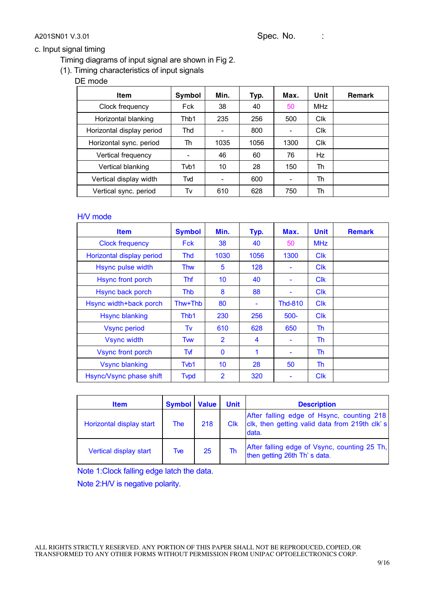A201SN01 V.3.01 Spec. No. :

### c. Input signal timing

Timing diagrams of input signal are shown in Fig 2.

(1). Timing characteristics of input signals

DE mode

| <b>Item</b>               | Symbol | Min. | Typ. | Max. | Unit                  | <b>Remark</b> |
|---------------------------|--------|------|------|------|-----------------------|---------------|
| Clock frequency           | Fck    | 38   | 40   | 50   | <b>MHz</b>            |               |
| Horizontal blanking       | Thb1   | 235  | 256  | 500  | <b>C<sub>IK</sub></b> |               |
| Horizontal display period | Thd    |      | 800  |      | <b>CIK</b>            |               |
| Horizontal sync. period   | Th     | 1035 | 1056 | 1300 | <b>C<sub>IK</sub></b> |               |
| Vertical frequency        |        | 46   | 60   | 76   | Hz                    |               |
| Vertical blanking         | Tvb1   | 10   | 28   | 150  | Th                    |               |
| Vertical display width    | Tvd    |      | 600  |      | Th                    |               |
| Vertical sync. period     | Tv     | 610  | 628  | 750  | Th                    |               |

### H/V mode

| <b>Item</b>               | <b>Symbol</b> | Min.           | Typ. | Max.                     | <b>Unit</b>           | <b>Remark</b> |
|---------------------------|---------------|----------------|------|--------------------------|-----------------------|---------------|
| <b>Clock frequency</b>    | <b>Fck</b>    | 38             | 40   | 50                       | <b>MHz</b>            |               |
| Horizontal display period | Thd           | 1030           | 1056 | 1300                     | <b>C<sub>IK</sub></b> |               |
| Hsync pulse width         | <b>Thw</b>    | 5              | 128  |                          | <b>C<sub>IK</sub></b> |               |
| <b>Hsync front porch</b>  | Thf           | 10             | 40   |                          | <b>Clk</b>            |               |
| Hsync back porch          | Thb           | 8              | 88   |                          | <b>Clk</b>            |               |
| Hsync width+back porch    | Thw+Thb       | 80             | ۰    | <b>Thd-810</b>           | <b>Clk</b>            |               |
| <b>Hsync blanking</b>     | Thb1          | 230            | 256  | $500 -$                  | <b>C<sub>IK</sub></b> |               |
| <b>Vsync period</b>       | Tv            | 610            | 628  | 650                      | Th                    |               |
| <b>Vsync width</b>        | Twv           | $\overline{2}$ | 4    |                          | Th                    |               |
| <b>Vsync front porch</b>  | Tvf           | $\mathbf{0}$   | 1    | $\overline{\phantom{0}}$ | Th                    |               |
| <b>Vsync blanking</b>     | Tvb1          | 10             | 28   | 50                       | Th                    |               |
| Hsync/Vsync phase shift   | <b>Typd</b>   | 2              | 320  |                          | <b>C<sub>IK</sub></b> |               |

| <b>Item</b>              | <b>Symbol Value</b> |     | <b>Unit</b>           | <b>Description</b>                                                                                  |
|--------------------------|---------------------|-----|-----------------------|-----------------------------------------------------------------------------------------------------|
| Horizontal display start | <b>The</b>          | 218 | <b>C<sub>IK</sub></b> | After falling edge of Hsync, counting 218<br>clk, then getting valid data from 219th clk's<br>data. |
| Vertical display start   | Tve                 | 25  | Th                    | After falling edge of Vsync, counting 25 Th,<br>then getting 26th Th's data.                        |

Note 1:Clock falling edge latch the data. Note 2:H/V is negative polarity.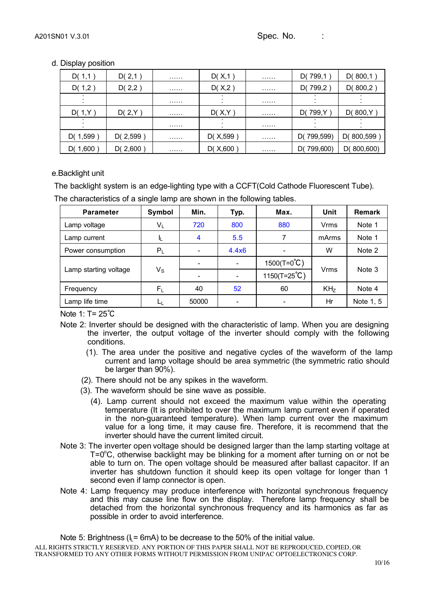### d. Display position

| D(1,1)     | D(2,1)   | . | D(X,1)     | . | D(799,1)      | D(800,1)   |
|------------|----------|---|------------|---|---------------|------------|
| D(1,2)     | D(2,2)   | . | D(X,2)     | . | D(799,2)      | D(800,2)   |
|            |          | . |            | . |               |            |
| D(1,Y)     | D(2,Y)   | . | D(X,Y)     | . | D(799, Y)     | D(800,Y)   |
|            |          | . |            | . |               |            |
| D(1,599)   | D(2,599) | . | D(X, 599)  | . | D(799,599)    | D(800,599  |
| D( $1,600$ | D(2,600) | . | D( $X,600$ | . | 799,600<br>D( | D(800,600) |

### e.Backlight unit

The backlight system is an edge-lighting type with a CCFT(Cold Cathode Fluorescent Tube).

The characteristics of a single lamp are shown in the following tables.

| <b>Parameter</b>      | Symbol      | Min.  | Typ.                     | Max.                  | Unit        | Remark    |
|-----------------------|-------------|-------|--------------------------|-----------------------|-------------|-----------|
| Lamp voltage          | $V_L$       | 720   | 800                      | 880                   | Vrms        | Note 1    |
| Lamp current          |             | 4     | 5.5                      |                       | mArms       | Note 1    |
| Power consumption     | $P_L$       |       | 4.4x6                    |                       | W           | Note 2    |
|                       |             |       | $\overline{\phantom{a}}$ | $1500(T=0^{\circ}C)$  |             | Note 3    |
| Lamp starting voltage | $V_{\rm S}$ |       | $\overline{\phantom{a}}$ | $1150(T=25^{\circ}C)$ | <b>Vrms</b> |           |
| Frequency             | $F_L$       | 40    | 52                       | 60                    | $KH_{Z}$    | Note 4    |
| Lamp life time        |             | 50000 | $\overline{\phantom{a}}$ |                       | Hr          | Note 1, 5 |

Note 1: T= 25℃

- Note 2: Inverter should be designed with the characteristic of lamp. When you are designing the inverter, the output voltage of the inverter should comply with the following conditions.
	- (1). The area under the positive and negative cycles of the waveform of the lamp current and lamp voltage should be area symmetric (the symmetric ratio should be larger than 90%).
	- (2). There should not be any spikes in the waveform.
	- (3). The waveform should be sine wave as possible.
		- (4). Lamp current should not exceed the maximum value within the operating temperature (It is prohibited to over the maximum lamp current even if operated in the non-guaranteed temperature). When lamp current over the maximum value for a long time, it may cause fire. Therefore, it is recommend that the inverter should have the current limited circuit.
- Note 3: The inverter open voltage should be designed larger than the lamp starting voltage at  $T = 0^{\circ}$ C, otherwise backlight may be blinking for a moment after turning on or not be able to turn on. The open voltage should be measured after ballast capacitor. If an inverter has shutdown function it should keep its open voltage for longer than 1 second even if lamp connector is open.
- Note 4: Lamp frequency may produce interference with horizontal synchronous frequency and this may cause line flow on the display. Therefore lamp frequency shall be detached from the horizontal synchronous frequency and its harmonics as far as possible in order to avoid interference.

ALL RIGHTS STRICTLY RESERVED. ANY PORTION OF THIS PAPER SHALL NOT BE REPRODUCED, COPIED, OR TRANSFORMED TO ANY OTHER FORMS WITHOUT PERMISSION FROM UNIPAC OPTOELECTRONICS CORP. Note 5: Brightness ( $I<sub>L</sub>$  = 6mA) to be decrease to the 50% of the initial value.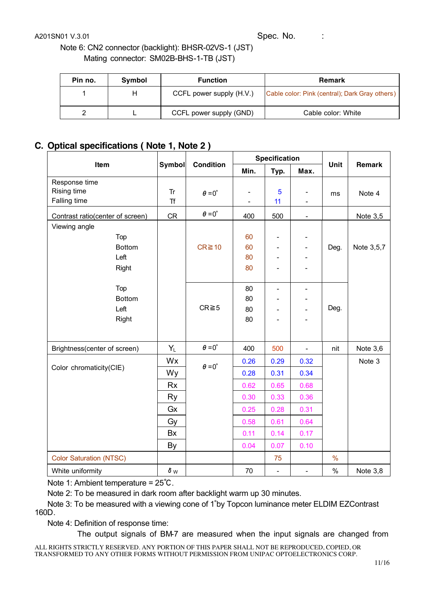A201SN01 V.3.01 Spec. No. :

Note 6: CN2 connector (backlight): BHSR-02VS-1 (JST) Mating connector: SM02B-BHS-1-TB (JST)

| Pin no. | Symbol | <b>Function</b>          | <b>Remark</b>                                  |
|---------|--------|--------------------------|------------------------------------------------|
|         | н      | CCFL power supply (H.V.) | Cable color: Pink (central); Dark Gray others) |
|         |        | CCFL power supply (GND)  | Cable color: White                             |

### **C. Optical specifications ( Note 1, Note 2 )**

| Item                                                       | <b>Condition</b> |                      | Specification |                              |                                            |               |               |
|------------------------------------------------------------|------------------|----------------------|---------------|------------------------------|--------------------------------------------|---------------|---------------|
|                                                            | <b>Symbol</b>    |                      | Min.          | Typ.                         | Max.                                       | Unit          | <b>Remark</b> |
| Response time<br><b>Rising time</b><br><b>Falling time</b> | Tr<br><b>Tf</b>  | $\theta = 0^{\circ}$ |               | 5<br>11                      | $\overline{\phantom{a}}$<br>$\blacksquare$ | ms            | Note 4        |
| Contrast ratio(center of screen)                           | CR               | $\theta = 0^{\circ}$ | 400           | 500                          | $\overline{\phantom{a}}$                   |               | Note 3,5      |
| Viewing angle                                              |                  |                      |               |                              |                                            |               |               |
| Top                                                        |                  |                      | 60            | $\overline{\phantom{0}}$     |                                            |               |               |
| <b>Bottom</b>                                              |                  | $CR \ge 10$          | 60            | $\qquad \qquad \blacksquare$ | $\qquad \qquad \blacksquare$               | Deg.          | Note 3,5,7    |
| Left                                                       |                  |                      | 80            |                              |                                            |               |               |
| Right                                                      |                  |                      | 80            | $\overline{\phantom{0}}$     |                                            |               |               |
| Top                                                        |                  |                      | 80            | $\overline{\phantom{a}}$     | $\overline{\phantom{a}}$                   |               |               |
| <b>Bottom</b>                                              |                  |                      | 80            | $\overline{\phantom{0}}$     |                                            | Deg.          |               |
| Left                                                       |                  | $CR \ge 5$           | 80            |                              | L.                                         |               |               |
| Right                                                      |                  |                      | 80            | $\blacksquare$               | $\overline{\phantom{0}}$                   |               |               |
|                                                            |                  |                      |               |                              |                                            |               |               |
| Brightness(center of screen)                               | $Y_L$            | $\theta = 0^{\circ}$ | 400           | 500                          | $\overline{a}$                             | nit           | Note 3,6      |
|                                                            | Wx               | $\theta = 0^{\circ}$ | 0.26          | 0.29                         | 0.32                                       |               | Note 3        |
| Color chromaticity(CIE)                                    | Wy               |                      | 0.28          | 0.31                         | 0.34                                       |               |               |
|                                                            | <b>Rx</b>        |                      | 0.62          | 0.65                         | 0.68                                       |               |               |
|                                                            | <b>Ry</b>        |                      | 0.30          | 0.33                         | 0.36                                       |               |               |
|                                                            | Gx               |                      | 0.25          | 0.28                         | 0.31                                       |               |               |
|                                                            | Gy               |                      | 0.58          | 0.61                         | 0.64                                       |               |               |
|                                                            | Bx               |                      | 0.11          | 0.14                         | 0.17                                       |               |               |
|                                                            | By               |                      | 0.04          | 0.07                         | 0.10                                       |               |               |
| <b>Color Saturation (NTSC)</b>                             |                  |                      |               | 75                           |                                            | $\frac{0}{0}$ |               |
| White uniformity                                           | $\delta$ w       |                      | 70            | $\overline{\phantom{a}}$     | $\overline{\phantom{a}}$                   | $\%$          | Note 3,8      |

Note 1: Ambient temperature = 25℃.

Note 2: To be measured in dark room after backlight warm up 30 minutes.

Note 3: To be measured with a viewing cone of 1∘by Topcon luminance meter ELDIM EZContrast 160D.

Note 4: Definition of response time:

The output signals of BM-7 are measured when the input signals are changed from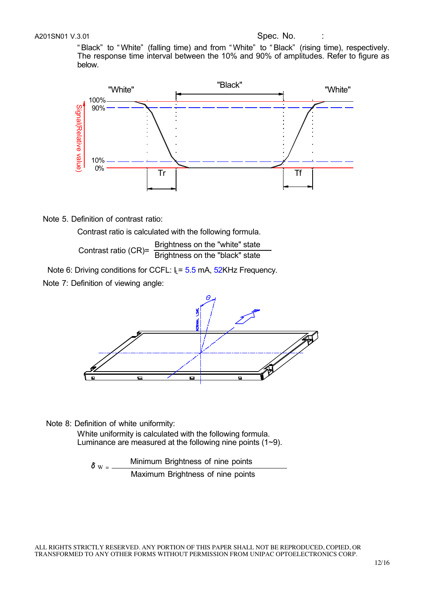" Black" to " White" (falling time) and from " White" to " Black" (rising time), respectively. The response time interval between the 10% and 90% of amplitudes. Refer to figure as below.



Note 5. Definition of contrast ratio:

Contrast ratio is calculated with the following formula. Contrast ratio (CR)= Brightness on the "white" state<br>Brightness on the "black" state

Note 6: Driving conditions for CCFL:  $I_1 = 5.5$  mA, 52KHz Frequency.

Note 7: Definition of viewing angle:



Note 8: Definition of white uniformity:

White uniformity is calculated with the following formula. Luminance are measured at the following nine points (1~9).

 $\delta$  w -  $\frac{Minimum$  Brightness of nine points Maximum Brightness of nine points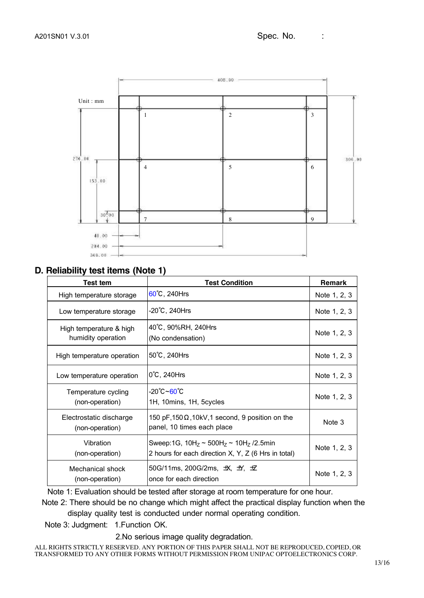

### **D. Reliability test items (Note 1)**

| Test tem                                      | <b>Test Condition</b>                                                                                   | Remark       |
|-----------------------------------------------|---------------------------------------------------------------------------------------------------------|--------------|
| High temperature storage                      | $60^{\circ}$ C, 240Hrs                                                                                  | Note 1, 2, 3 |
| Low temperature storage                       | -20℃, 240Hrs                                                                                            | Note 1, 2, 3 |
| High temperature & high<br>humidity operation | 40°C, 90%RH, 240Hrs<br>(No condensation)                                                                | Note 1, 2, 3 |
| High temperature operation                    | 50°C, 240Hrs                                                                                            | Note 1, 2, 3 |
| Low temperature operation                     | $0^{\circ}$ C, 240Hrs                                                                                   | Note 1, 2, 3 |
| Temperature cycling<br>(non-operation)        | -20℃~60℃<br>1H, 10mins, 1H, 5cycles                                                                     | Note 1, 2, 3 |
| Electrostatic discharge<br>(non-operation)    | 150 pF, 150 $\Omega$ , 10kV, 1 second, 9 position on the<br>panel, 10 times each place                  | Note 3       |
| Vibration<br>(non-operation)                  | Sweep:1G, $10H_z \sim 500H_z \sim 10H_z$ /2.5min<br>2 hours for each direction X, Y, Z (6 Hrs in total) | Note 1, 2, 3 |
| Mechanical shock<br>(non-operation)           | 50G/11ms, 200G/2ms, 坎, サ, セ<br>once for each direction                                                  | Note 1, 2, 3 |

Note 1: Evaluation should be tested after storage at room temperature for one hour.

 Note 2: There should be no change which might affect the practical display function when the display quality test is conducted under normal operating condition.

Note 3: Judgment: 1.Function OK.

2.No serious image quality degradation.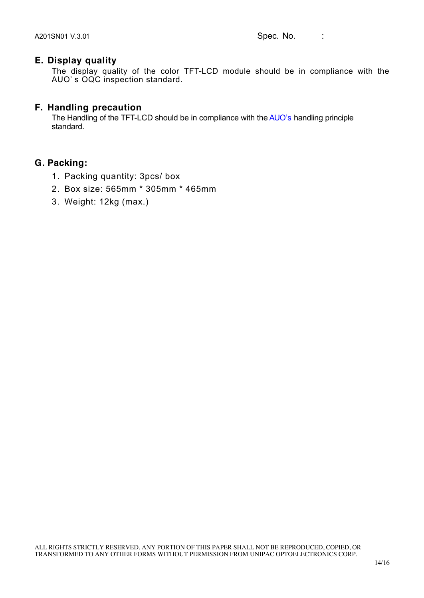### **E. Display quality**

The display quality of the color TFT-LCD module should be in compliance with the AUO' s OQC inspection standard.

### **F. Handling precaution**

The Handling of the TFT-LCD should be in compliance with the AUO's handling principle standard.

### **G. Packing:**

- 1. Packing quantity: 3pcs/ box
- 2. Box size: 565mm \* 305mm \* 465mm
- 3. Weight: 12kg (max.)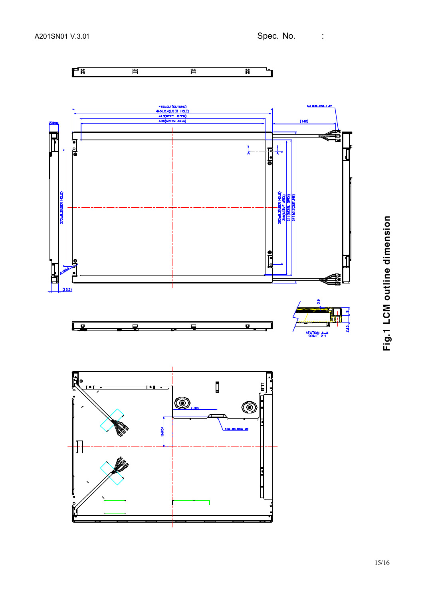